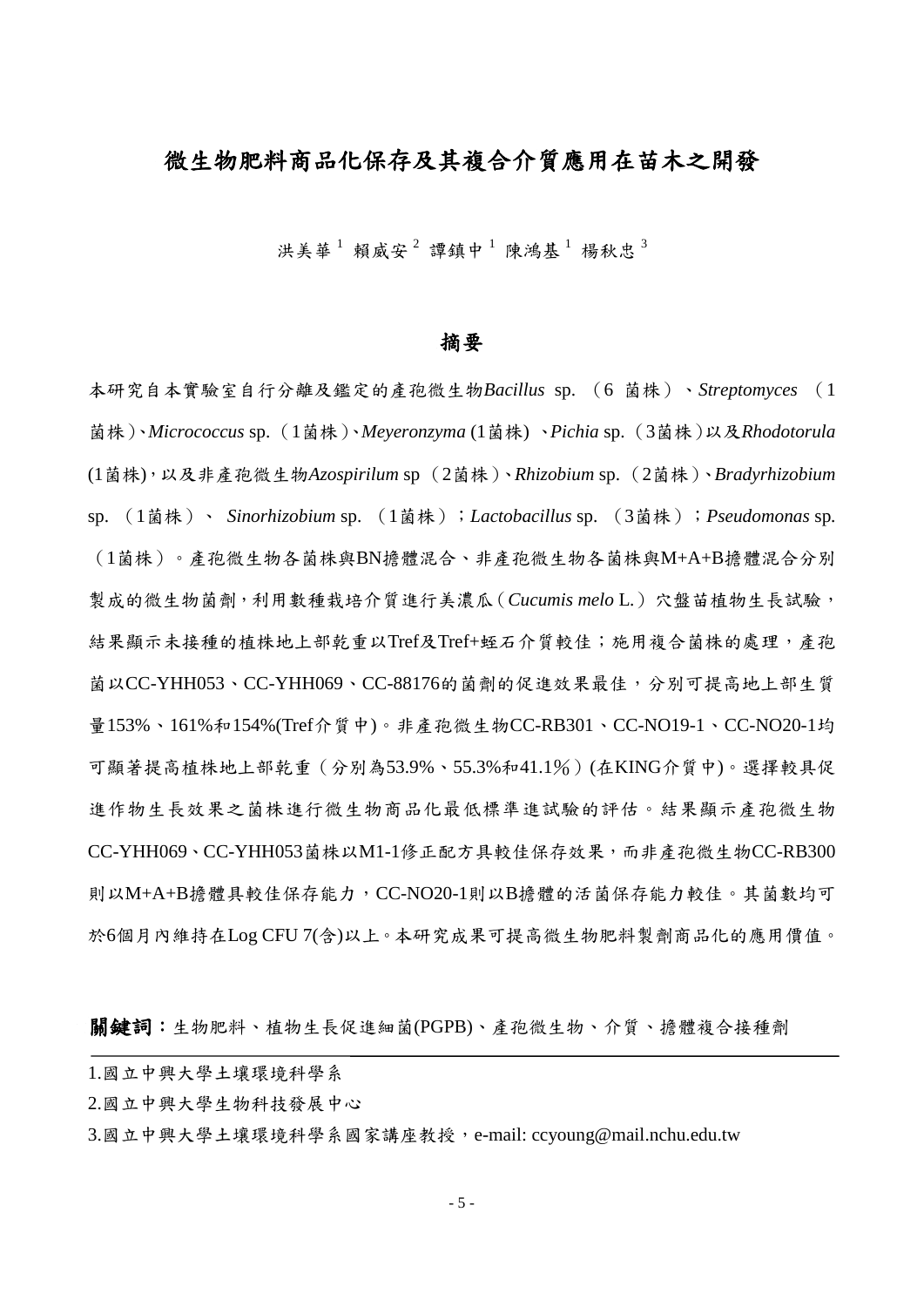# 微生物肥料商品化保存及其複合介質應用在苗木之開發

洪美華<sup>1</sup>賴威安<sup>2</sup>譚鎮中<sup>1</sup>陳鴻基<sup>1</sup>楊秋忠<sup>3</sup>

#### 摘要

本研究自本實驗室自行分離及鑑定的產孢微生物*Bacillus* sp. (6 菌株)、*Streptomyces* (1 菌株)、*Micrococcus* sp. (1菌株)、*Meyeronzyma* (1菌株) 、*Pichia* sp. (3菌株)以及*Rhodotorula*  (1菌株),以及非產孢微生物*Azospirilum* sp (2菌株)、*Rhizobium* sp. (2菌株)、*Bradyrhizobium* sp. (1菌株)、 *Sinorhizobium* sp. (1菌株);*Lactobacillus* sp. (3菌株);*Pseudomonas* sp*.* (1菌株)。產孢微生物各菌株與BN擔體混合、非產孢微生物各菌株與M+A+B擔體混合分別 製成的微生物菌劑,利用數種栽培介質進行美濃瓜(Cucumis melo L.)穴盤苗植物生長試驗, 結果顯示未接種的植株地上部乾重以Tref及Tref+蛭石介質較佳;施用複合菌株的處理,產孢 菌以CC-YHH053、CC-YHH069、CC-88176的菌劑的促進效果最佳,分別可提高地上部生質 量153%、161%和154%(Tref介質中)。非產孢微生物CC-RB301、CC-NO19-1、CC-NO20-1均 可顯著提高植株地上部乾重 (分別為53.9%、55.3%和41.1%) (在KING介質中)。選擇較具促 進作物生長效果之菌株進行微生物商品化最低標準進試驗的評估。結果顯示產孢微生物 CC-YHH069、CC-YHH053菌株以M1-1修正配方具較佳保存效果,而非產孢微生物CC-RB300 則以M+A+B擔體具較佳保存能力,CC-NO20-1則以B擔體的活菌保存能力較佳。其菌數均可 於6個月內維持在Log CFU 7(含)以上。本研究成果可提高微生物肥料製劑商品化的應用價值。

關鍵詞:生物肥料、植物生長促進細菌(PGPB)、產孢微生物、介質、擔體複合接種劑

| 1.國立中興大學土壤環境科學系                                        |  |
|--------------------------------------------------------|--|
| 2.國立中興大學生物科技發展中心                                       |  |
| 3.國立中興大學土壤環境科學系國家講座教授,e-mail: ccyoung@mail.nchu.edu.tw |  |
|                                                        |  |

- 5 -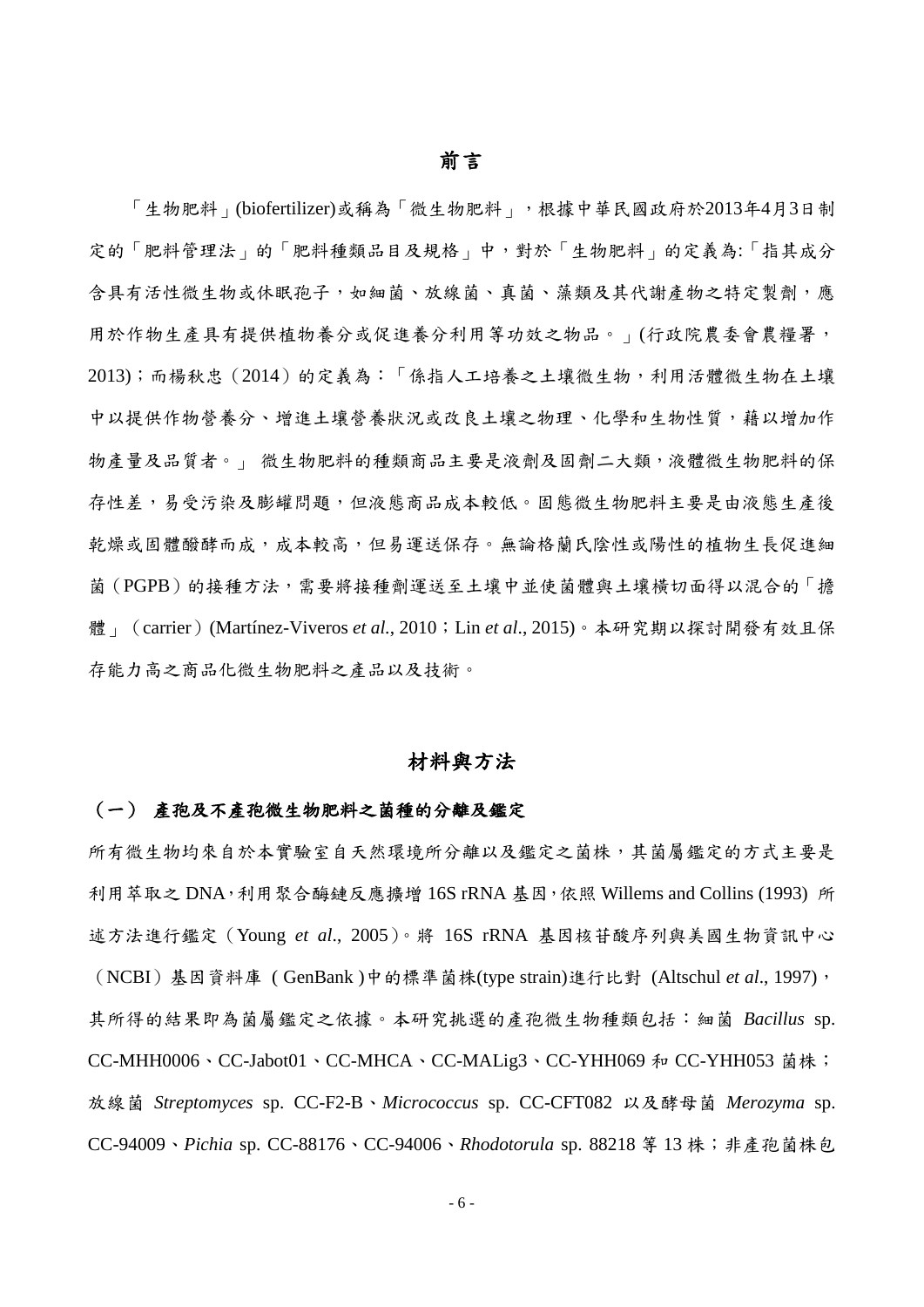「生物肥料」(biofertilizer)或稱為「微生物肥料」,根據中華民國政府於2013年4月3日制 定的「肥料管理法」的「肥料種類品目及規格」中,對於「生物肥料」的定義為:「指其成分 含具有活性微生物或休眠孢子,如細菌、放線菌、真菌、藻類及其代謝產物之特定製劑,應 用於作物生產具有提供植物養分或促進養分冺用等功效之物品。」(行政院農委會農糧署, 2013);而楊秓忠(2014)的定義為:「係指人工培養之土壤微生物,冺用活體微生物在土壤 中以提供作物營養分、增進土壤營養狀況或改良土壤之物理、化學和生物性質,藉以增加作 物產量及品質者。」 微生物肥料的種類商品主要是液劑及固劑二大類,液體微生物肥料的保 存性差,易受污染及膨罐問題,但液態商品成本較低。固態微生物肥料主要是由液態生產後 乾燥或固體醱酵而成,成本較高,但易運送保存。無論格蘭氏陰性或陽性的植物生長促進細 菌(PGPB)的接種方法,需要將接種劑運送至土壤中並使菌體與土壤橫切面得以混合的「擔 體」(carrier)(Martínez-Viveros *et al.*, 2010;Lin *et al*., 2015)。本研究期以探討開發有效且保 存能力高之商品化微生物肥料之產品以及技術。

#### 材料與方法

#### (一) 產孢及不產孢微生物肥料之菌種的分離及鑑定

所有微生物均來自於本實驗室自天然環境所分離以及鑑定之菌株,其菌屬鑑定的方式主要是 利用萃取之 DNA,利用聚合酶鏈反應擴增 16S rRNA 基因,依照 Willems and Collins (1993) 所 述方法進行鑑定(Young *et al*., 2005)。將 16S rRNA 基因核苷酸序列與美國生物資訊中心 (NCBI)基因資料庫 ( GenBank )中的標準菌株(type strain)進行比對 [\(Altschul](http://www.ncbi.nlm.nih.gov/pubmed/9254694?ordinalpos=5&itool=EntrezSystem2.PEntrez.Pubmed.Pubmed_ResultsPanel.Pubmed_DefaultReportPanel.Pubmed_RVDocSum) *et al*., 1997), 其所得的結果即為菌屬鑑定之依據。本研究挑選的產孢微生物種類包括:細菌 *Bacillus* sp. CC-MHH0006、CC-Jabot01、CC-MHCA、CC-MALig3、CC-YHH069 和 CC-YHH053 菌株; 放線菌 *Streptomyces* sp. CC-F2-B、*Micrococcus* sp. CC-CFT082 以及酵母菌 *Merozyma* sp. CC-94009、*Pichia* sp. CC-88176、CC-94006、*Rhodotorula* sp. 88218 等 13 株;非產孢菌株包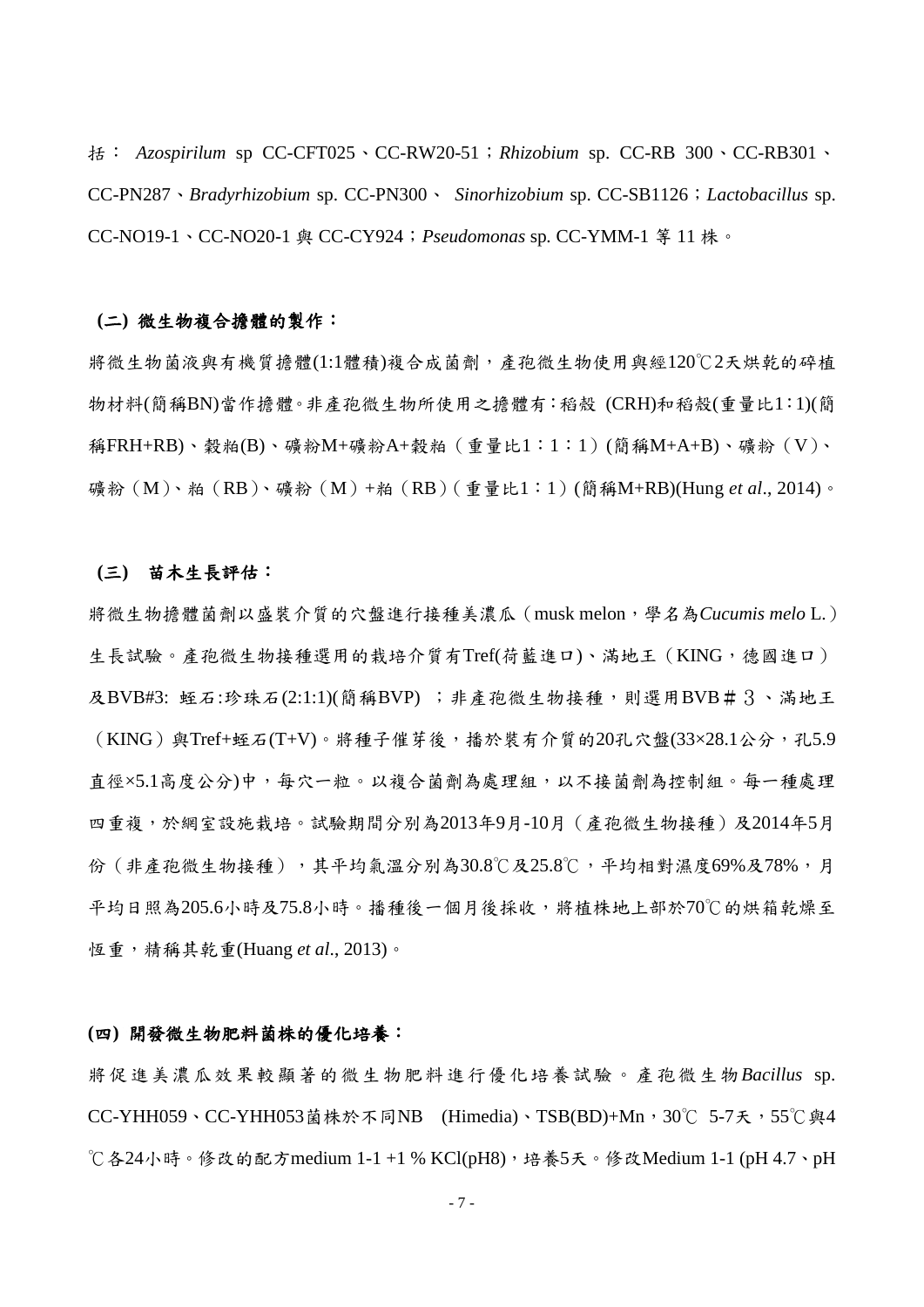括: *Azospirilum* sp CC-CFT025、CC-RW20-51;*Rhizobium* sp. CC-RB 300、CC-RB301、 CC-PN287、*Bradyrhizobium* sp. CC-PN300、 *Sinorhizobium* sp. CC-SB1126;*Lactobacillus* sp. CC-NO19-1、CC-NO20-1 與 CC-CY924;*Pseudomonas* sp*.* CC*-*YMM-1 等 11 株。

#### **(**二**)** 微生物複合擔體的製作:

將微生物菌液與有機質擔體(1:1體積)複合成菌劑,產孢微生物使用與經120℃2天烘乾的碎植 物材料(簡稱BN)當作擔體。非產孢微生物所使用之擔體有:稻殼 (CRH)和稻殼(重量比1:1)(簡 稱FRH+RB)、穀粕(B)、礦粉M+礦粉A+穀粕(重量比1:1:1)(簡稱M+A+B)、礦粉(V)、 礦粉(M)、粕(RB)、礦粉(M)+粕(RB)(重量比1:1)(簡稱M+RB)(Hung *et al*., 2014)。

#### **(**三**)** 苗木生長評估:

將微生物擔體菌劑以盛裝介質的穴盤進行接種美濃瓜(musk melon,學名為*Cucumis melo* L.) 生長試驗。產孢微生物接種選用的栽培介質有Tref(荷藍進口)、滿地王(KING,德國進口) 及BVB#3: 蛭石:珍珠石(2:1:1)(簡稱BVP); 非產孢微生物接種,則選用BVB#3、滿地王  $($  KING) 與Tref+蛭石(T+V)。將種子催芽後,播於裝有介質的20孔穴盤(33×28.1公分,孔5.9 直徑×5.1高度公分)中,每穴一粒。以複合菌劑為處理組,以不接菌劑為控制組。每一種處理 四重複,於網室設施栽培。試驗期間分別為2013年9月-10月(產孢微生物接種)及2014年5月 份 (非產孢微生物接種),其平均氣溫分別為30.8℃及25.8℃,平均相對濕度69%及78%,月 平均日照為205.6小時及75.8小時。播種後一個月後採收,將植株地上部於70℃的烘箱乾燥至 恆重,精稱其乾重(Huang *et al*., 2013)。

#### **(**四**)** 開發微生物肥料菌株的優化培養:

將促進美濃瓜效果較顯著的微生物肥料進行優化培養試驗。產孢微生物*Bacillus* sp. CC-YHH059、CC-YHH053菌株於不同NB (Himedia)、TSB(BD)+Mn,30℃ 5-7天,55℃與4 ℃各24小時。修改的配方medium 1-1 +1 % KCl(pH8),培養5天。修改Medium 1-1 (pH 4.7、pH

- 7 -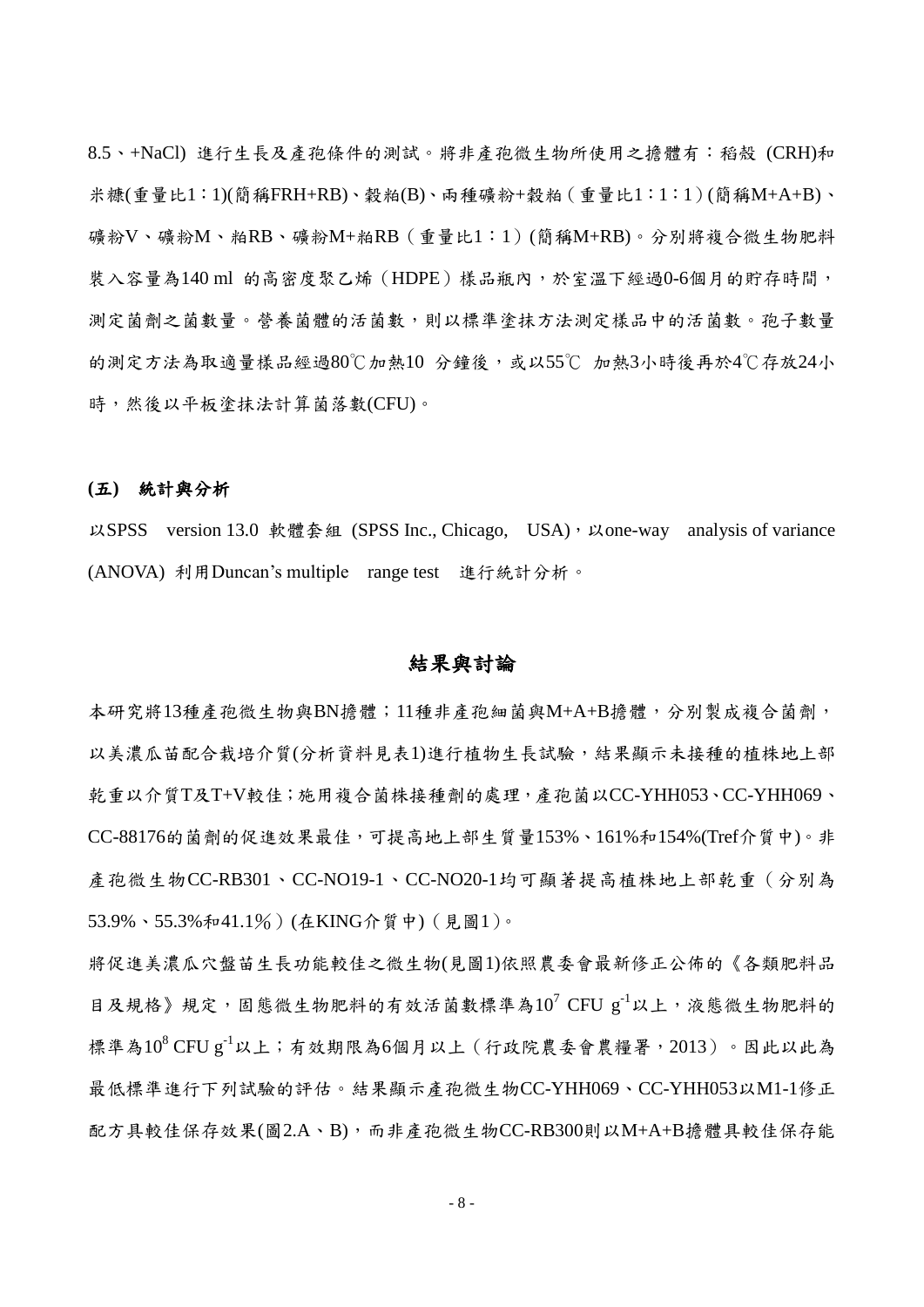8.5、+NaCl) 進行生長及產孢條件的測試。將非產孢微生物所使用之擔體有:稻殼 (CRH)和 米糠(重量比1:1)(簡稱FRH+RB)、穀粕(B)、兩種礦粉+穀粕(重量比1:1:1)(簡稱M+A+B)、 礦粉V、礦粉M、粕RB、礦粉M+粕RB(重量比1:1)(簡稱M+RB)。分別將複合微生物肥料 裝入容量為140 ml 的高密度聚乙烯 (HDPE)樣品瓶內,於室溫下經過0-6個月的貯存時間, 測定菌劑之菌數量。營養菌體的活菌數,則以標準塗抹方法測定樣品中的活菌數。孢子數量 的測定方法為取適量樣品經過80℃加熱10 分鐘後,或以55℃ 加熱3小時後再於4℃存放24小 時,然後以平板塗抹法計算菌落數(CFU)。

#### **(**五**)** 統計與分析

以SPSS version 13.0 軟體套組 (SPSS Inc., Chicago, USA), 以one-way analysis of variance (ANOVA) 冺用Duncan's multiple range test 進行統計分析。

### 結果與討論

本研究將13種產孢微生物與BN擔體;11種非產孢細菌與M+A+B擔體,分別製成複合菌劑, 以美濃瓜苗配合栽培介質(分析資料見表1)進行植物生長試驗,結果顯示未接種的植株地上部 乾重以介質T及T+V較佳;施用複合菌株接種劑的處理,產孢菌以CC-YHH053、CC-YHH069、 CC-88176的菌劑的促進效果最佳,可提高地上部生質量153%、161%和154%(Tref介質中)。非 產孢微生物CC-RB301、CC-NO19-1、CC-NO20-1均可顯著提高植株地上部乾重(分別為 53.9%、55.3%和41.1%)(在KING介質中)(見圖1)。

將促進美濃瓜穴盤苗生長功能較佳之微生物(見圖1)依照農委會最新修正公佈的《各類肥料品 目及規格》規定,固態微生物肥料的有效活菌數標準為 $10^7$  CFU g<sup>-1</sup>以上,液態微生物肥料的 標準為10<sup>8</sup> CFU g<sup>-1</sup>以上;有效期限為6個月以上(行政院農委會農糧署,2013)。因此以此為 最低標準進行下列試驗的評估。結果顯示產孢微生物CC-YHH069、CC-YHH053以M1-1修正 配方具較佳保存效果(圖2.A、B),而非產孢微生物CC-RB300則以M+A+B擔體具較佳保存能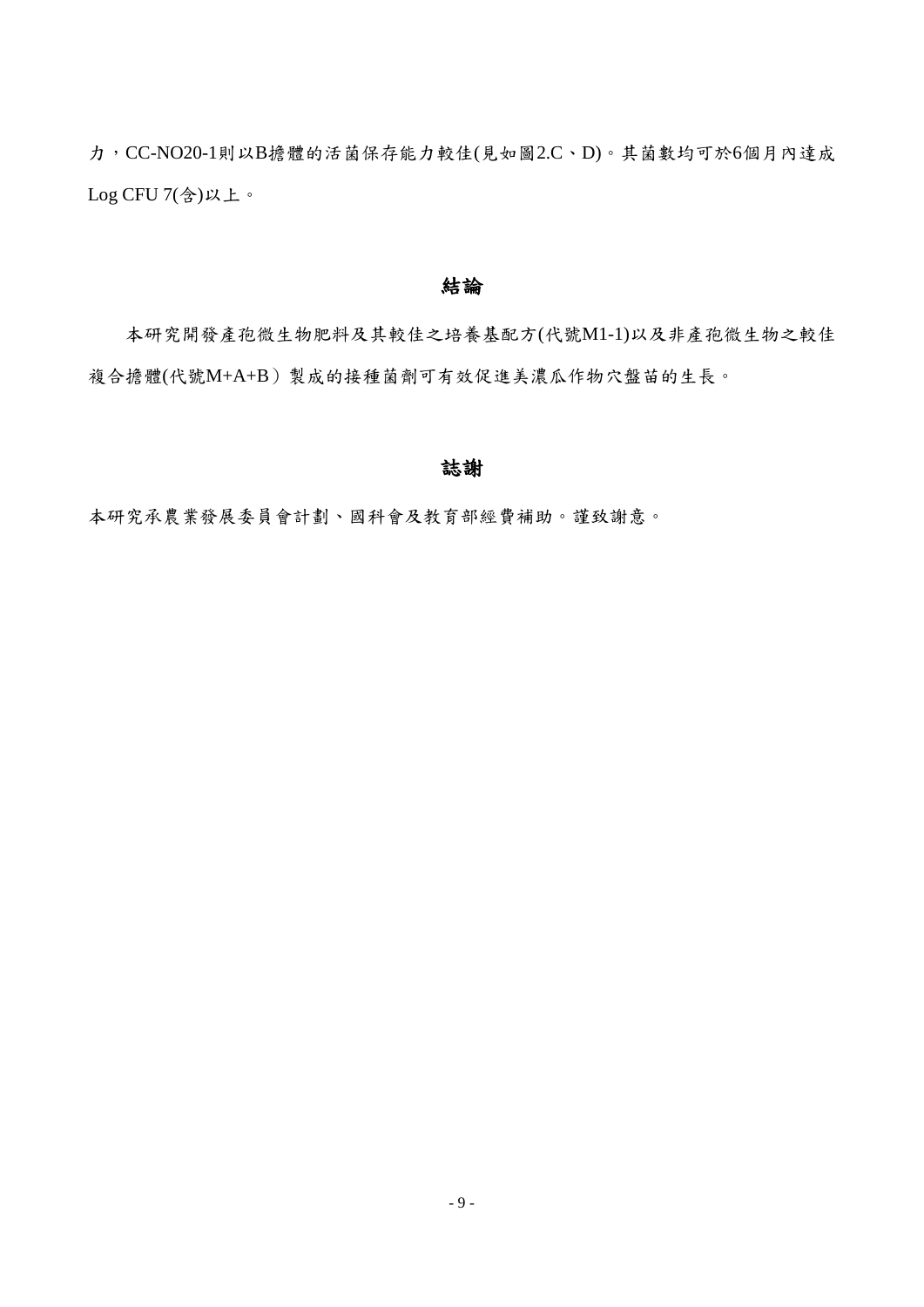力,CC-NO20-1則以B擔體的活菌保存能力較佳(見如圖2.C、D)。其菌數均可於6個月內達成 Log CFU 7(含)以上。

#### 結論

本研究開發產孢微生物肥料及其較佳之培養基配方(代號M1-1)以及非產孢微生物之較佳 複合擔體(代號M+A+B)製成的接種菌劑可有效促進美濃瓜作物穴盤苗的生長。

### 誌謝

本研究承農業發展委員會計劃、國科會及教育部經費補助。謹致謝意。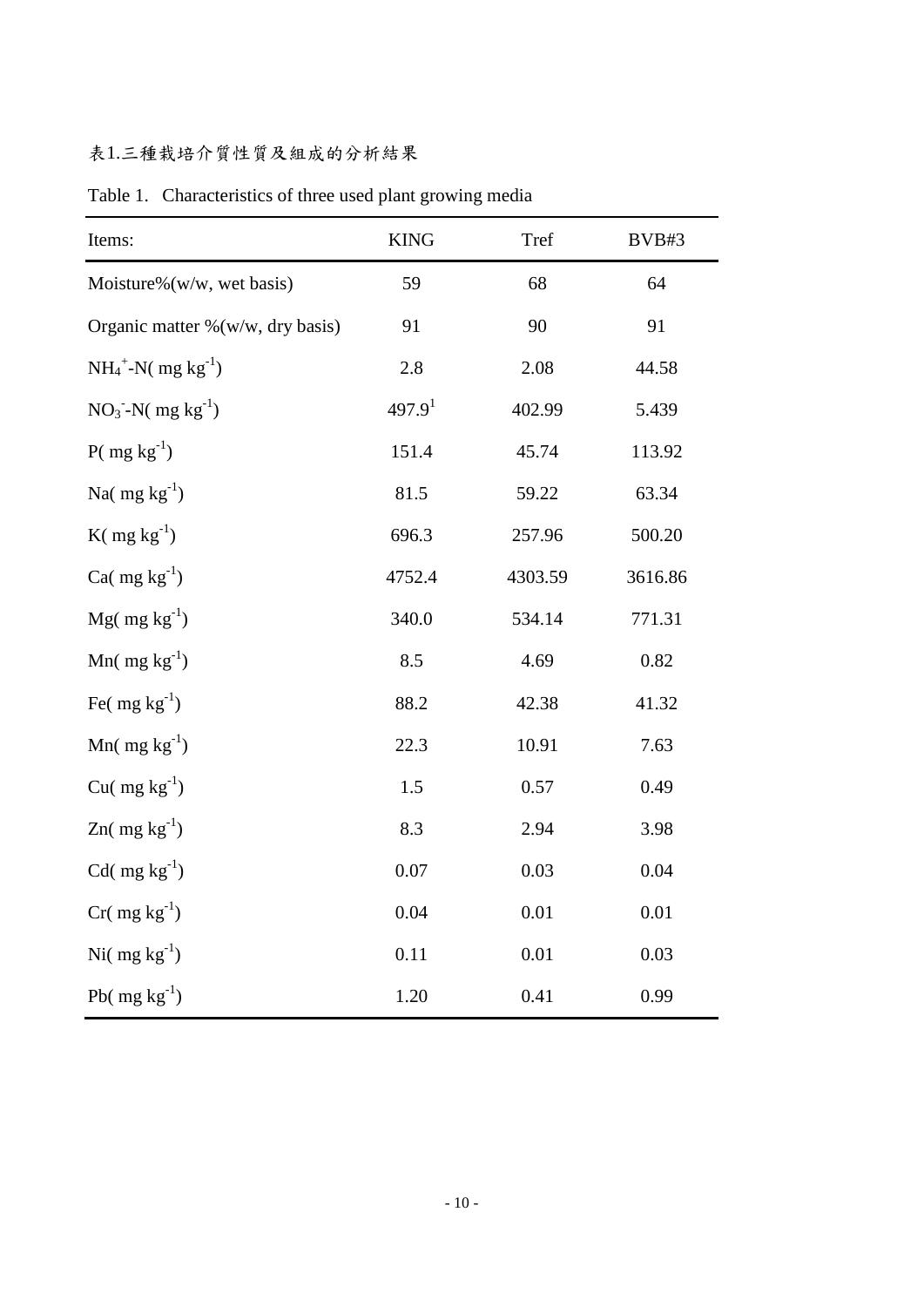# 表1.三種栽培介質性質及組成的分析結果

| Items:                               | <b>KING</b>        | Tref    | BVB#3   |
|--------------------------------------|--------------------|---------|---------|
| Moisture% $(w/w, wet basis)$         | 59                 | 68      | 64      |
| Organic matter $\%$ (w/w, dry basis) | 91                 | 90      | 91      |
| $NH_4^+$ -N( mg kg <sup>-1</sup> )   | 2.8                | 2.08    | 44.58   |
| $NO_3^-N$ (mg kg <sup>-1</sup> )     | 497.9 <sup>1</sup> | 402.99  | 5.439   |
| $P(mg kg^{-1})$                      | 151.4              | 45.74   | 113.92  |
| Na( $mg \, kg^{-1}$ )                | 81.5               | 59.22   | 63.34   |
| $K(\text{mg kg}^{-1})$               | 696.3              | 257.96  | 500.20  |
| Ca( $mg \, kg^{-1}$ )                | 4752.4             | 4303.59 | 3616.86 |
| $Mg(mg kg^{-1})$                     | 340.0              | 534.14  | 771.31  |
| Mn( $mg \, kg^{-1}$ )                | 8.5                | 4.69    | 0.82    |
| Fe( $mg \, kg^{-1}$ )                | 88.2               | 42.38   | 41.32   |
| Mn( $mg \, kg^{-1}$ )                | 22.3               | 10.91   | 7.63    |
| Cu( $mg \, kg^{-1}$ )                | 1.5                | 0.57    | 0.49    |
| $Zn$ (mg kg <sup>-1</sup> )          | 8.3                | 2.94    | 3.98    |
| $Cd$ (mg kg <sup>-1</sup> )          | 0.07               | 0.03    | 0.04    |
| $Cr(mg kg^{-1})$                     | 0.04               | 0.01    | 0.01    |
| Ni( $mg \, kg^{-1}$ )                | 0.11               | 0.01    | 0.03    |
| Pb( $mg \, kg^{-1}$ )                | 1.20               | 0.41    | 0.99    |

Table 1. Characteristics of three used plant growing media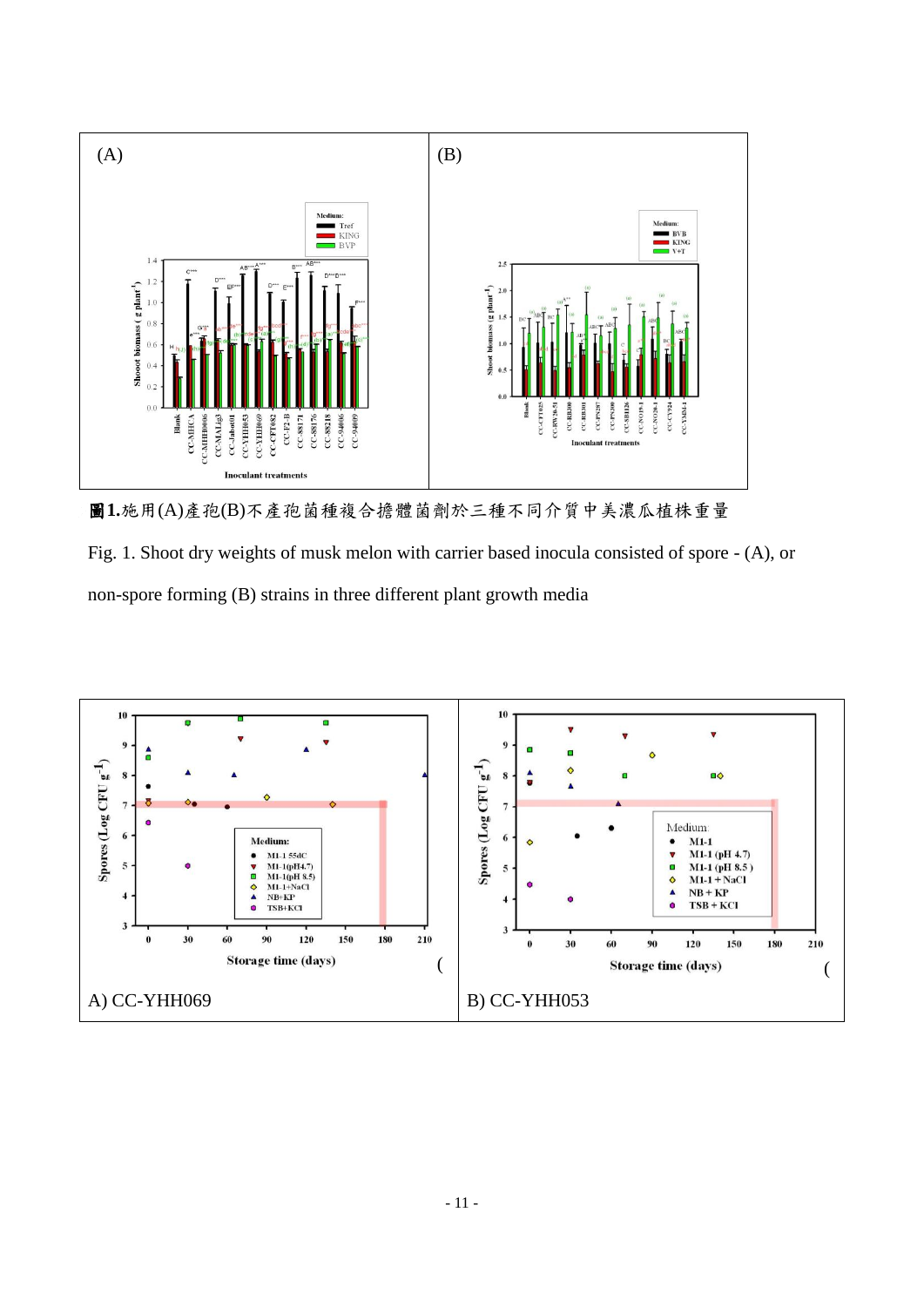

圖**1.**施用(A)產孢(B)不產孢菌種複合擔體菌劑於三種不同介質中美濃瓜植株重量

Fig. 1. Shoot dry weights of musk melon with carrier based inocula consisted of spore - (A), or non-spore forming (B) strains in three different plant growth media

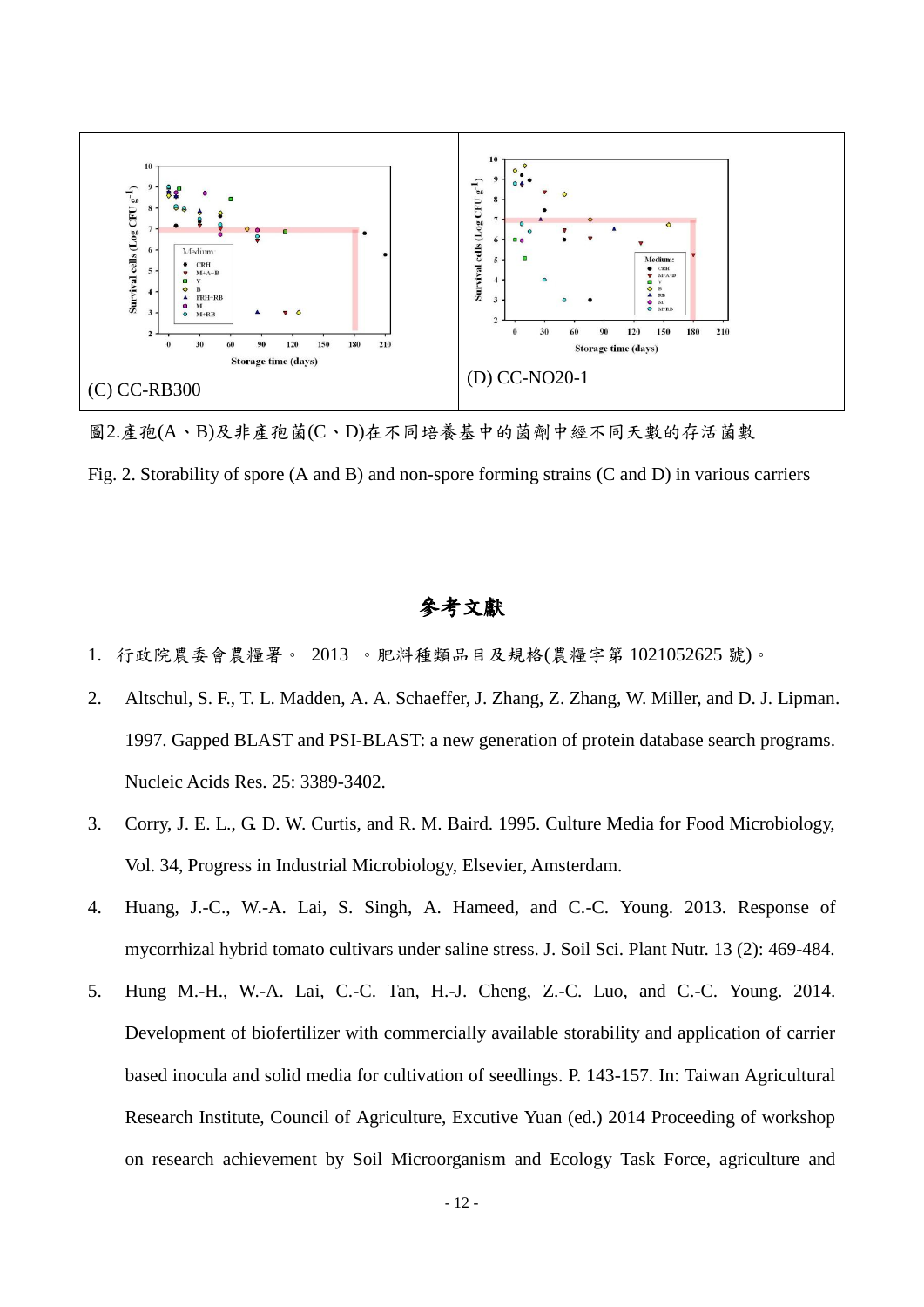

圖2.產孢(A、B)及非產孢菌(C、D)在不同培養基中的菌劑中經不同天數的存活菌數

Fig. 2. Storability of spore (A and B) and non-spore forming strains (C and D) in various carriers

# 參考文獻

- 1. 行政院農委會農糧署。 2013 。肥料種類品目及規格(農糧字第 1021052625 號)。
- 2. Altschul, S. F., T. L. Madden, A. A. Schaeffer, J. Zhang, Z. Zhang, W. Miller, and D. J. Lipman. 1997. Gapped BLAST and PSI-BLAST: a new generation of protein database search programs. Nucleic Acids Res. 25: 3389-3402.
- 3. Corry, J. E. L., G. D. W. Curtis, and R. M. Baird. 1995. Culture Media for Food Microbiology, Vol. 34, Progress in Industrial Microbiology, Elsevier, Amsterdam.
- 4. Huang, J.-C., W.-A. Lai, S. Singh, A. Hameed, and C.-C. Young. 2013. Response of mycorrhizal hybrid tomato cultivars under saline stress. J. Soil Sci. Plant Nutr. 13 (2): 469-484.
- 5. Hung M.-H., W.-A. Lai, C.-C. Tan, H.-J. Cheng, Z.-C. Luo, and C.-C. Young. 2014. Development of biofertilizer with commercially available storability and application of carrier based inocula and solid media for cultivation of seedlings. P. 143-157. In: Taiwan Agricultural Research Institute, Council of Agriculture, Excutive Yuan (ed.) 2014 Proceeding of workshop on research achievement by Soil Microorganism and Ecology Task Force, agriculture and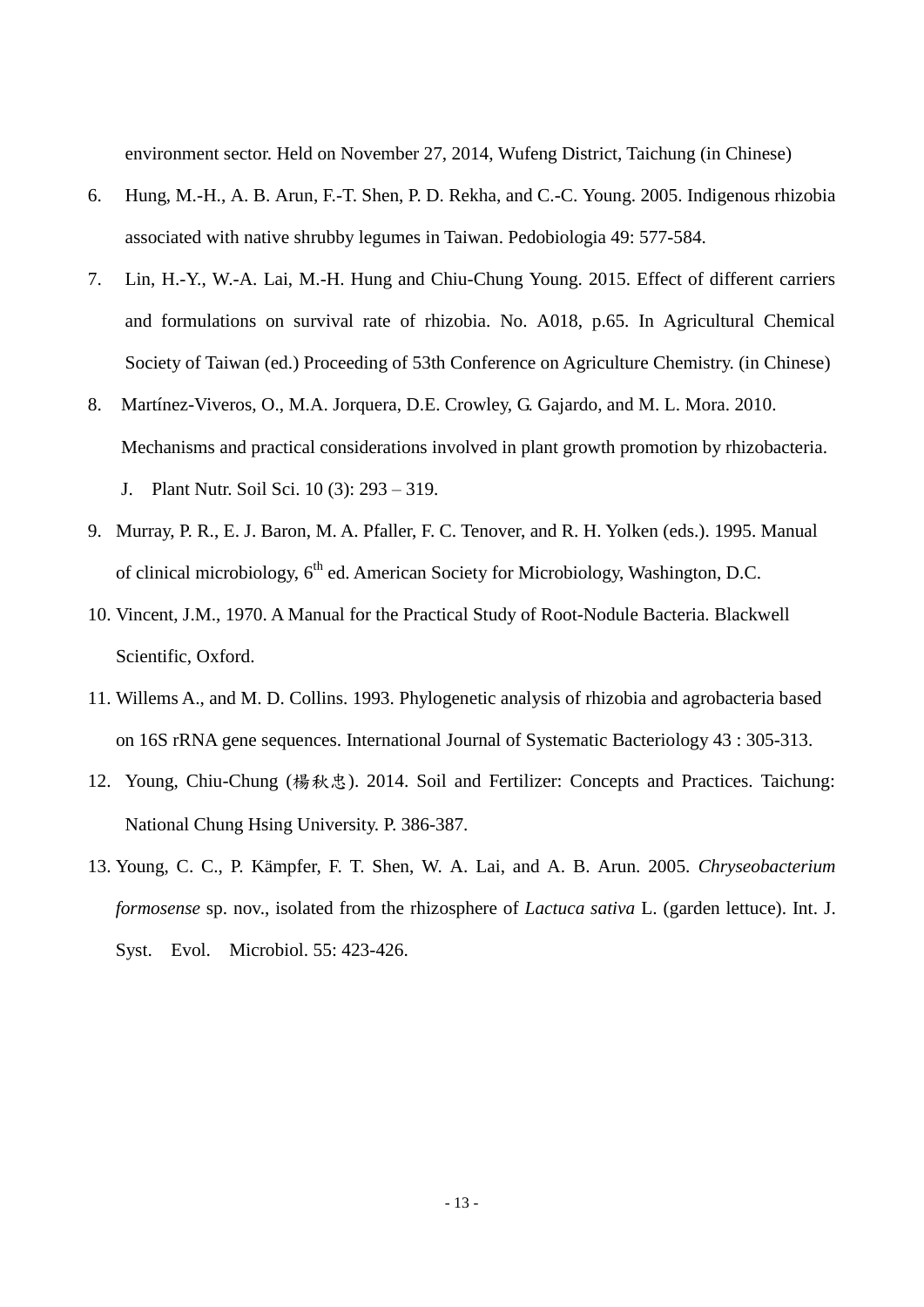environment sector. Held on November 27, 2014, Wufeng District, Taichung (in Chinese)

- 6. Hung, M.-H., A. B. Arun, F.-T. Shen, P. D. Rekha, and C.-C. Young. 2005. Indigenous rhizobia associated with native shrubby legumes in Taiwan. Pedobiologia 49: 577-584.
- 7. Lin, H.-Y., W.-A. Lai, M.-H. Hung and Chiu-Chung Young. 2015. Effect of different carriers and formulations on survival rate of rhizobia. No. A018, p.65. In Agricultural Chemical Society of Taiwan (ed.) Proceeding of 53th Conference on Agriculture Chemistry. (in Chinese)
- 8. Martínez-Viveros, O., M.A. Jorquera, D.E. Crowley, G. Gajardo, and M. L. Mora. 2010. Mechanisms and practical considerations involved in plant growth promotion by rhizobacteria. J. Plant Nutr. Soil Sci. 10 (3): 293 – 319.
- 9. Murray, P. R., E. J. Baron, M. A. Pfaller, F. C. Tenover, and R. H. Yolken (eds.). 1995. Manual of clinical microbiology,  $6<sup>th</sup>$  ed. American Society for Microbiology, Washington, D.C.
- 10. Vincent, J.M., 1970. A Manual for the Practical Study of Root-Nodule Bacteria. Blackwell Scientific, Oxford.
- 11. Willems A., and M. D. Collins. 1993. Phylogenetic analysis of rhizobia and agrobacteria based on 16S rRNA gene sequences. International Journal of Systematic Bacteriology 43 : 305-313.
- 12. Young, Chiu-Chung (楊秓忠). 2014. Soil and Fertilizer: Concepts and Practices. Taichung: National Chung Hsing University. P. 386-387.
- 13. Young, C. C., P. Kämpfer, F. T. Shen, W. A. Lai, and A. B. Arun. 2005. *Chryseobacterium formosense* sp. nov., isolated from the rhizosphere of *Lactuca sativa* L. (garden lettuce). Int. J. Syst. Evol. Microbiol. 55: 423-426.